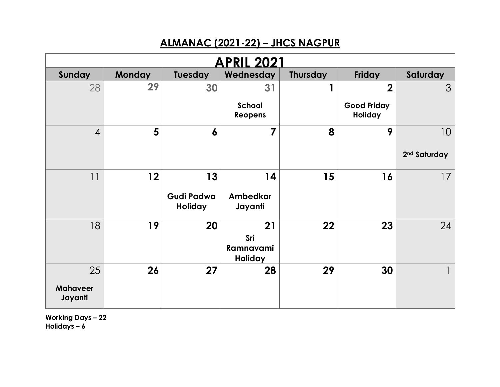## **ALMANAC (2021-22) – JHCS NAGPUR**

| <b>APRIL 2021</b>          |               |                                     |                                          |                 |                               |                          |  |  |
|----------------------------|---------------|-------------------------------------|------------------------------------------|-----------------|-------------------------------|--------------------------|--|--|
| Sunday                     | <b>Monday</b> | Tuesday                             | Wednesday                                | <b>Thursday</b> | Friday                        | Saturday                 |  |  |
| 28                         | 29            | 30                                  | 31                                       |                 | $\overline{2}$                | 3                        |  |  |
|                            |               |                                     | School<br>Reopens                        |                 | <b>Good Friday</b><br>Holiday |                          |  |  |
| $\overline{4}$             | 5             | $\boldsymbol{6}$                    | $\overline{\mathbf{z}}$                  | 8               | 9                             | 10                       |  |  |
|                            |               |                                     |                                          |                 |                               | 2 <sup>nd</sup> Saturday |  |  |
| 11                         | 12            | 13                                  | 14                                       | 15              | 16                            | 17                       |  |  |
|                            |               | <b>Gudi Padwa</b><br><b>Holiday</b> | Ambedkar<br>Jayanti                      |                 |                               |                          |  |  |
| 18                         | 19            | 20                                  | 21<br>Sri<br>Ramnavami<br><b>Holiday</b> | 22              | 23                            | 24                       |  |  |
| 25                         | 26            | 27                                  | 28                                       | 29              | 30                            |                          |  |  |
| <b>Mahaveer</b><br>Jayanti |               |                                     |                                          |                 |                               |                          |  |  |

**Working Days – 22 Holidays – 6**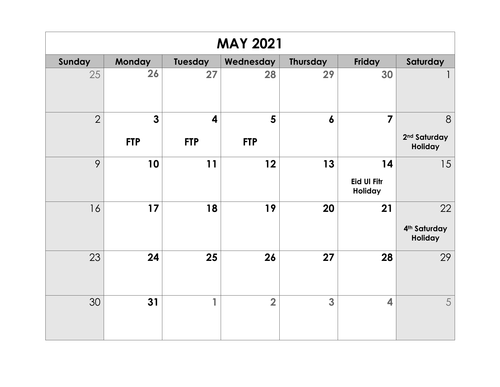| <b>MAY 2021</b> |              |            |                |                  |                               |                                     |  |  |
|-----------------|--------------|------------|----------------|------------------|-------------------------------|-------------------------------------|--|--|
| Sunday          | Monday       | Tuesday    | Wednesday      | <b>Thursday</b>  | Friday                        | Saturday                            |  |  |
| 25              | 26           | 27         | 28             | 29               | 30                            |                                     |  |  |
| $\overline{2}$  | $\mathbf{3}$ | 4          | 5              | $\boldsymbol{6}$ | $\overline{7}$                | 8                                   |  |  |
|                 | <b>FTP</b>   | <b>FTP</b> | <b>FTP</b>     |                  |                               | 2 <sup>nd</sup> Saturday<br>Holiday |  |  |
| 9               | 10           | 11         | 12             | 13               | 14                            | 15                                  |  |  |
|                 |              |            |                |                  | <b>Eid Ul Fitr</b><br>Holiday |                                     |  |  |
| 16              | 17           | 18         | 19             | 20               | 21                            | 22                                  |  |  |
|                 |              |            |                |                  |                               | 4 <sup>th</sup> Saturday<br>Holiday |  |  |
| 23              | 24           | 25         | 26             | 27               | 28                            | 29                                  |  |  |
| 30              | 31           | 1          | $\overline{2}$ | $\mathbf{3}$     | $\overline{\mathbf{4}}$       | 5                                   |  |  |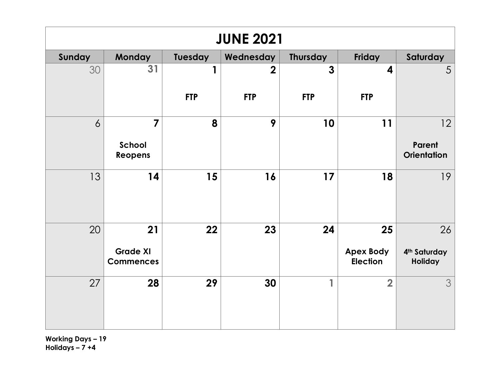| <b>JUNE 2021</b> |                                           |                |                |                 |                                           |                                           |  |  |
|------------------|-------------------------------------------|----------------|----------------|-----------------|-------------------------------------------|-------------------------------------------|--|--|
| Sunday           | <b>Monday</b>                             | <b>Tuesday</b> | Wednesday      | <b>Thursday</b> | Friday                                    | Saturday                                  |  |  |
| 30               | 31                                        | 1              | $\overline{2}$ | $\overline{3}$  | $\overline{\mathbf{4}}$                   | 5                                         |  |  |
|                  |                                           | <b>FTP</b>     | <b>FTP</b>     | <b>FTP</b>      | <b>FTP</b>                                |                                           |  |  |
| 6                | $\overline{7}$<br>School<br>Reopens       | 8              | 9              | 10              | 11                                        | 12<br><b>Parent</b><br><b>Orientation</b> |  |  |
| 13               | 14                                        | 15             | 16             | 17              | 18                                        | 19                                        |  |  |
| 20               | 21<br><b>Grade XI</b><br><b>Commences</b> | 22             | 23             | 24              | 25<br><b>Apex Body</b><br><b>Election</b> | 26<br>4 <sup>th</sup> Saturday<br>Holiday |  |  |
| 27               | 28                                        | 29             | 30             | 1               | $\overline{2}$                            | 3                                         |  |  |

**Working Days – 19 Holidays – 7 +4**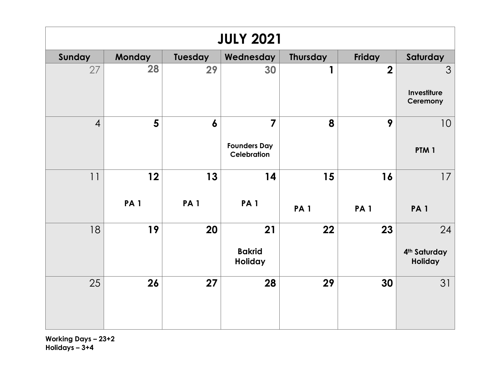| <b>JULY 2021</b> |                  |                  |                                                             |                  |                         |                                           |  |  |
|------------------|------------------|------------------|-------------------------------------------------------------|------------------|-------------------------|-------------------------------------------|--|--|
| Sunday           | <b>Monday</b>    | <b>Tuesday</b>   | Wednesday                                                   | Thursday         | Friday                  | Saturday                                  |  |  |
| 27               | 28               | 29               | 30                                                          | 1                | $\overline{\mathbf{2}}$ | 3<br>Investiture<br>Ceremony              |  |  |
| $\overline{4}$   | $5\phantom{1}$   | $\boldsymbol{6}$ | $\overline{7}$<br><b>Founders Day</b><br><b>Celebration</b> | 8                | 9                       | 10<br>PTM <sub>1</sub>                    |  |  |
| 11               | 12<br><b>PA1</b> | 13<br><b>PA1</b> | 14<br><b>PA1</b>                                            | 15<br><b>PA1</b> | 16<br><b>PA1</b>        | 17<br><b>PA1</b>                          |  |  |
| 18               | 19               | 20               | 21<br><b>Bakrid</b><br>Holiday                              | 22               | 23                      | 24<br>4 <sup>th</sup> Saturday<br>Holiday |  |  |
| 25               | 26               | 27               | 28                                                          | 29               | 30                      | 31                                        |  |  |

**Working Days – 23+2 Holidays – 3+4**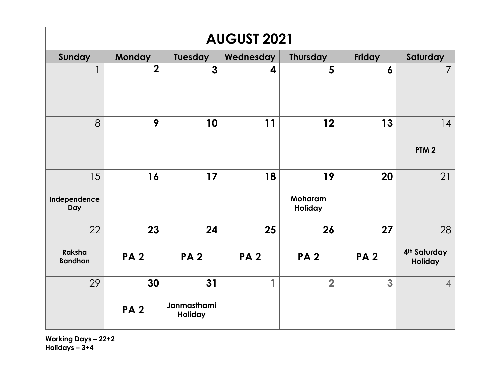| <b>AUGUST 2021</b>        |                  |                              |            |                          |                  |                                            |  |  |
|---------------------------|------------------|------------------------------|------------|--------------------------|------------------|--------------------------------------------|--|--|
| Sunday                    | Monday           | <b>Tuesday</b>               | Wednesday  | <b>Thursday</b>          | Friday           | Saturday                                   |  |  |
| 1                         | $\overline{2}$   | $\overline{3}$               | 4          | 5                        | $\boldsymbol{6}$ | $\overline{7}$                             |  |  |
| 8                         | 9                | 10                           | 11         | 12                       | 13               | 14<br>PTM <sub>2</sub>                     |  |  |
| 15<br>Independence<br>Day | 16               | 17                           | 18         | 19<br>Moharam<br>Holiday | 20               | 21                                         |  |  |
| 22                        | 23               | 24                           | 25         | 26                       | 27               | 28                                         |  |  |
| Raksha<br><b>Bandhan</b>  | <b>PA2</b>       | <b>PA2</b>                   | <b>PA2</b> | <b>PA2</b>               | <b>PA2</b>       | 4 <sup>th</sup> Saturday<br><b>Holiday</b> |  |  |
| 29                        | 30<br><b>PA2</b> | 31<br>Janmasthami<br>Holiday | 1          | $\overline{2}$           | 3                | $\overline{4}$                             |  |  |

**Working Days – 22+2 Holidays – 3+4**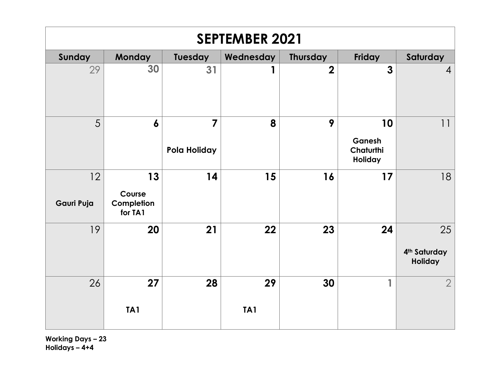| <b>SEPTEMBER 2021</b> |                                       |                                |                  |                 |                                      |                                           |  |  |
|-----------------------|---------------------------------------|--------------------------------|------------------|-----------------|--------------------------------------|-------------------------------------------|--|--|
| Sunday                | <b>Monday</b>                         | <b>Tuesday</b>                 | Wednesday        | <b>Thursday</b> | Friday                               | Saturday                                  |  |  |
| 29                    | 30                                    | 31                             | 1                | $\overline{2}$  | $\mathbf{3}$                         | $\overline{4}$                            |  |  |
| 5                     | $\boldsymbol{6}$                      | $\overline{7}$<br>Pola Holiday | 8                | 9               | 10<br>Ganesh<br>Chaturthi<br>Holiday | 11                                        |  |  |
| 12<br>Gauri Puja      | 13<br>Course<br>Completion<br>for TA1 | 14                             | 15               | 16              | 17                                   | 18                                        |  |  |
| 19                    | 20                                    | 21                             | 22               | 23              | 24                                   | 25<br>4 <sup>th</sup> Saturday<br>Holiday |  |  |
| 26                    | 27<br>TA <sub>1</sub>                 | 28                             | 29<br><b>TA1</b> | 30              | 1                                    | $\overline{2}$                            |  |  |

**Working Days – 23 Holidays – 4+4**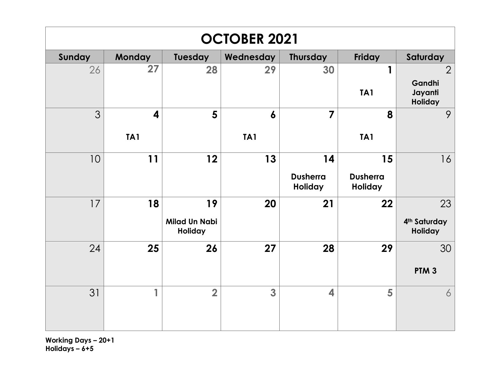| <b>OCTOBER 2021</b> |               |                                        |                 |                            |                            |                                                |  |  |  |
|---------------------|---------------|----------------------------------------|-----------------|----------------------------|----------------------------|------------------------------------------------|--|--|--|
| Sunday              | <b>Monday</b> | <b>Tuesday</b>                         | Wednesday       | <b>Thursday</b>            | <b>Friday</b>              | Saturday                                       |  |  |  |
| 26                  | 27            | 28                                     | 29              | 30                         | 1<br>TA <sub>1</sub>       | $\overline{2}$<br>Gandhi<br>Jayanti<br>Holiday |  |  |  |
| 3                   | 4             | 5                                      | 6               | $\overline{\mathbf{z}}$    | 8                          | 9                                              |  |  |  |
|                     | TA1           |                                        | TA <sub>1</sub> |                            | TA <sub>1</sub>            |                                                |  |  |  |
| 10                  | 11            | 12                                     | 13              | 14                         | 15                         | 16                                             |  |  |  |
|                     |               |                                        |                 | <b>Dusherra</b><br>Holiday | <b>Dusherra</b><br>Holiday |                                                |  |  |  |
| 17                  | 18            | 19                                     | 20              | 21                         | 22                         | 23                                             |  |  |  |
|                     |               | <b>Milad Un Nabi</b><br><b>Holiday</b> |                 |                            |                            | 4 <sup>th</sup> Saturday<br>Holiday            |  |  |  |
| 24                  | 25            | 26                                     | 27              | 28                         | 29                         | 30                                             |  |  |  |
|                     |               |                                        |                 |                            |                            | PTM <sub>3</sub>                               |  |  |  |
| 31                  | 1             | $\overline{2}$                         | 3               | $\overline{\mathbf{4}}$    | 5                          | 6                                              |  |  |  |

**Working Days – 20+1 Holidays – 6+5**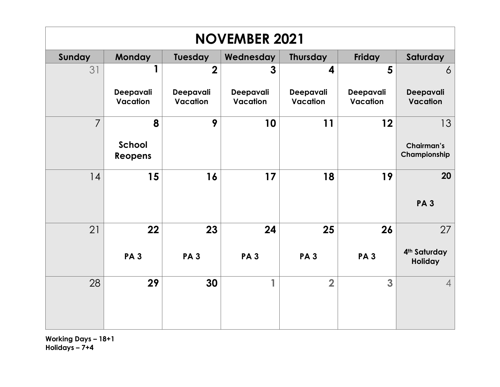| <b>NOVEMBER 2021</b> |                               |                       |                              |                       |                              |                                           |  |  |
|----------------------|-------------------------------|-----------------------|------------------------------|-----------------------|------------------------------|-------------------------------------------|--|--|
| Sunday               | <b>Monday</b>                 | <b>Tuesday</b>        | Wednesday                    | <b>Thursday</b>       | <b>Friday</b>                | Saturday                                  |  |  |
| 31                   | 1                             | $\overline{2}$        | 3                            | 4                     | 5                            | 6                                         |  |  |
|                      | Deepavali<br>Vacation         | Deepavali<br>Vacation | Deepavali<br><b>Vacation</b> | Deepavali<br>Vacation | Deepavali<br><b>Vacation</b> | Deepavali<br><b>Vacation</b>              |  |  |
| $\overline{7}$       | 8<br>School<br><b>Reopens</b> | 9                     | 10                           | 11                    | 12                           | 13<br>Chairman's<br>Championship          |  |  |
| 14                   | 15                            | 16                    | 17                           | 18                    | 19                           | 20<br><b>PA3</b>                          |  |  |
| 21                   | 22<br><b>PA3</b>              | 23<br><b>PA3</b>      | 24<br><b>PA3</b>             | 25<br><b>PA3</b>      | 26<br><b>PA3</b>             | 27<br>4 <sup>th</sup> Saturday<br>Holiday |  |  |
| 28                   | 29                            | 30                    | 1                            | $\overline{2}$        | 3                            | $\overline{4}$                            |  |  |

**Working Days – 18+1 Holidays – 7+4**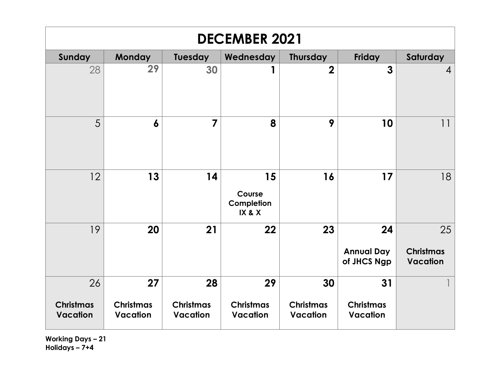| <b>DECEMBER 2021</b>                |                                     |                                     |                                      |                                     |                                        |                                           |  |  |
|-------------------------------------|-------------------------------------|-------------------------------------|--------------------------------------|-------------------------------------|----------------------------------------|-------------------------------------------|--|--|
| Sunday                              | <b>Monday</b>                       | Tuesday                             | Wednesday                            | <b>Thursday</b>                     | <b>Friday</b>                          | Saturday                                  |  |  |
| 28                                  | 29                                  | 30                                  | 1                                    | $\overline{2}$                      | $\mathbf{3}$                           | 4                                         |  |  |
| 5                                   | 6                                   | $\overline{7}$                      | 8                                    | 9                                   | 10                                     | 11                                        |  |  |
| 12                                  | 13                                  | 14                                  | 15<br>Course<br>Completion<br>IX & X | 16                                  | 17                                     | 18                                        |  |  |
| 19                                  | 20                                  | 21                                  | 22                                   | 23                                  | 24<br><b>Annual Day</b><br>of JHCS Ngp | 25<br><b>Christmas</b><br><b>Vacation</b> |  |  |
| 26                                  | 27                                  | 28                                  | 29                                   | 30                                  | 31                                     |                                           |  |  |
| <b>Christmas</b><br><b>Vacation</b> | <b>Christmas</b><br><b>Vacation</b> | <b>Christmas</b><br><b>Vacation</b> | <b>Christmas</b><br><b>Vacation</b>  | <b>Christmas</b><br><b>Vacation</b> | <b>Christmas</b><br><b>Vacation</b>    |                                           |  |  |

**Working Days – 21 Holidays – 7+4**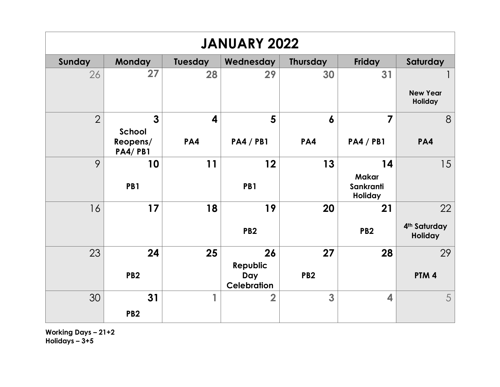| <b>JANUARY 2022</b> |                                 |                |                                       |                  |                         |                                            |  |  |
|---------------------|---------------------------------|----------------|---------------------------------------|------------------|-------------------------|--------------------------------------------|--|--|
| Sunday              | <b>Monday</b>                   | <b>Tuesday</b> | Wednesday                             | <b>Thursday</b>  | Friday                  | Saturday                                   |  |  |
| 26                  | 27                              | 28             | 29                                    | 30               | 31                      | <b>New Year</b>                            |  |  |
|                     |                                 |                |                                       |                  |                         | Holiday                                    |  |  |
| $\overline{2}$      | $\overline{3}$<br><b>School</b> | 4              | 5                                     | $\boldsymbol{6}$ | 7                       | 8                                          |  |  |
|                     | Reopens/<br><b>PA4/PB1</b>      | PA4            | <b>PA4 / PB1</b>                      | PA4              | <b>PA4 / PB1</b>        | PA4                                        |  |  |
| 9                   | 10                              | 11             | 12                                    | 13               | 14<br><b>Makar</b>      | 15                                         |  |  |
|                     | PB1                             |                | PB1                                   |                  | Sankranti<br>Holiday    |                                            |  |  |
| 16                  | 17                              | 18             | 19                                    | 20               | 21                      | 22                                         |  |  |
|                     |                                 |                | PB <sub>2</sub>                       |                  | PB <sub>2</sub>         | 4 <sup>th</sup> Saturday<br><b>Holiday</b> |  |  |
| 23                  | 24                              | 25             | 26                                    | 27               | 28                      | 29                                         |  |  |
|                     | PB <sub>2</sub>                 |                | Republic<br>Day<br><b>Celebration</b> | PB <sub>2</sub>  |                         | PTM <sub>4</sub>                           |  |  |
| 30                  | 31                              | 1              | $\overline{\mathbf{2}}$               | 3                | $\overline{\mathbf{4}}$ | 5                                          |  |  |
|                     | PB <sub>2</sub>                 |                |                                       |                  |                         |                                            |  |  |

**Working Days – 21+2 Holidays – 3+5**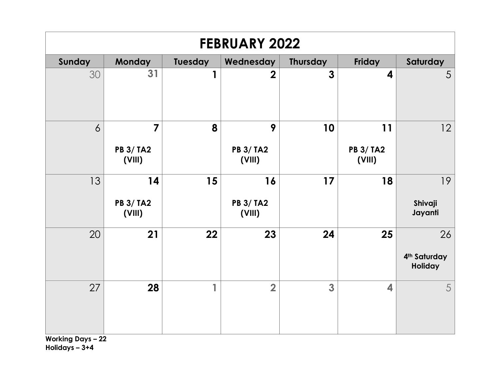| <b>FEBRUARY 2022</b> |                                              |              |                                  |                |                                  |                                           |  |  |
|----------------------|----------------------------------------------|--------------|----------------------------------|----------------|----------------------------------|-------------------------------------------|--|--|
| Sunday               | <b>Monday</b>                                | Tuesday      | Wednesday                        | Thursday       | Friday                           | Saturday                                  |  |  |
| 30                   | 31                                           | $\mathbf{1}$ | $\overline{2}$                   | $\overline{3}$ | $\boldsymbol{4}$                 | 5                                         |  |  |
| $\delta$             | $\overline{7}$<br><b>PB 3/ TA2</b><br>(VIII) | 8            | 9<br><b>PB 3/ TA2</b><br>(VIII)  | 10             | 11<br><b>PB 3/ TA2</b><br>(VIII) | 12                                        |  |  |
| 13                   | 14<br><b>PB 3/ TA2</b><br>(VIII)             | 15           | 16<br><b>PB 3/ TA2</b><br>(VIII) | 17             | 18                               | 19<br>Shivaji<br>Jayanti                  |  |  |
| 20                   | 21                                           | 22           | 23                               | 24             | 25                               | 26<br>4 <sup>th</sup> Saturday<br>Holiday |  |  |
| 27                   | 28                                           | $\mathbf{1}$ | $\overline{2}$                   | 3              | $\overline{\mathbf{4}}$          | 5                                         |  |  |

**Working Days – 22 Holidays – 3+4**